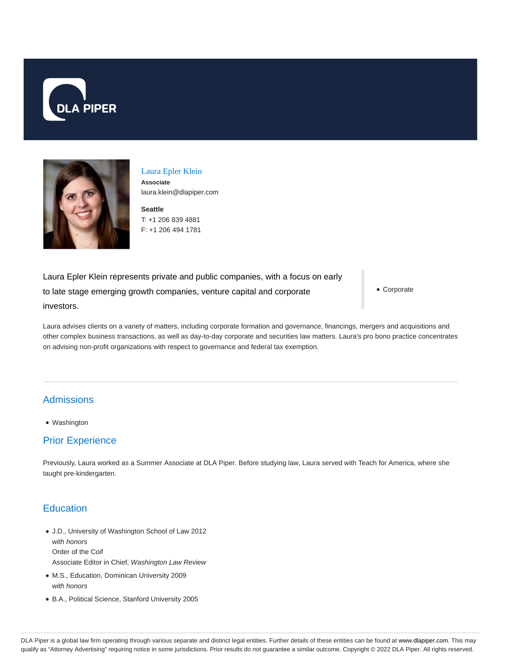



#### Laura Epler Klein **Associate** laura.klein@dlapiper.com

**Seattle** T: +1 206 839 4881 F: +1 206 494 1781

Laura Epler Klein represents private and public companies, with a focus on early to late stage emerging growth companies, venture capital and corporate investors.

Corporate

Laura advises clients on a variety of matters, including corporate formation and governance, financings, mergers and acquisitions and other complex business transactions, as well as day-to-day corporate and securities law matters. Laura's pro bono practice concentrates on advising non-profit organizations with respect to governance and federal tax exemption.

# Admissions

Washington

# Prior Experience

Previously, Laura worked as a Summer Associate at DLA Piper. Before studying law, Laura served with Teach for America, where she taught pre-kindergarten.

# **Education**

- J.D., University of Washington School of Law 2012 with honors Order of the Coif Associate Editor in Chief, Washington Law Review
- M.S., Education, Dominican University 2009 with honors
- B.A., Political Science, Stanford University 2005